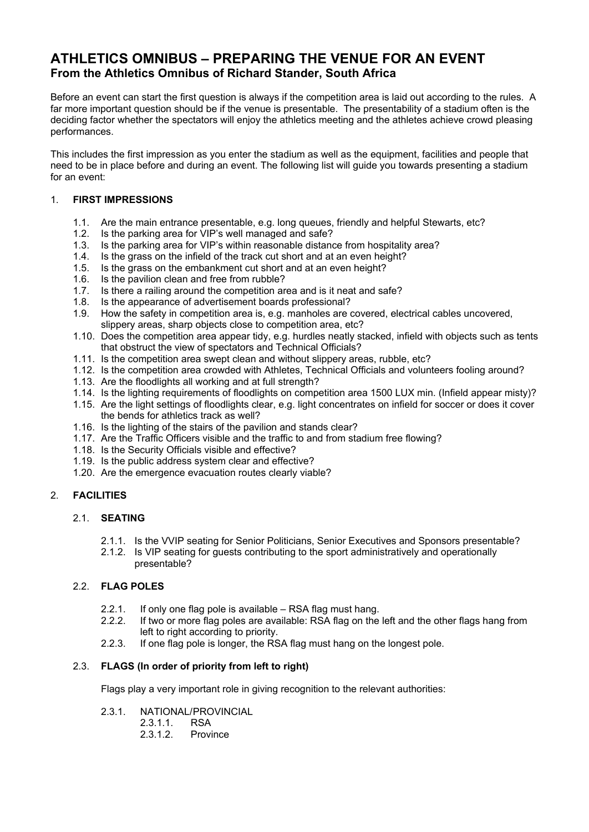# **ATHLETICS OMNIBUS – PREPARING THE VENUE FOR AN EVENT From the Athletics Omnibus of Richard Stander, South Africa**

Before an event can start the first question is always if the competition area is laid out according to the rules. A far more important question should be if the venue is presentable. The presentability of a stadium often is the deciding factor whether the spectators will enjoy the athletics meeting and the athletes achieve crowd pleasing performances.

This includes the first impression as you enter the stadium as well as the equipment, facilities and people that need to be in place before and during an event. The following list will guide you towards presenting a stadium for an event:

# 1. **FIRST IMPRESSIONS**

- 1.1. Are the main entrance presentable, e.g. long queues, friendly and helpful Stewarts, etc?
- 1.2. Is the parking area for VIP's well managed and safe?
- 1.3. Is the parking area for VIP's within reasonable distance from hospitality area?
- 1.4. Is the grass on the infield of the track cut short and at an even height?
- 1.5. Is the grass on the embankment cut short and at an even height?
- 1.6. Is the pavilion clean and free from rubble?
- 1.7. Is there a railing around the competition area and is it neat and safe?
- 1.8. Is the appearance of advertisement boards professional?
- 1.9. How the safety in competition area is, e.g. manholes are covered, electrical cables uncovered, slippery areas, sharp objects close to competition area, etc?
- 1.10. Does the competition area appear tidy, e.g. hurdles neatly stacked, infield with objects such as tents that obstruct the view of spectators and Technical Officials?
- 1.11. Is the competition area swept clean and without slippery areas, rubble, etc?
- 1.12. Is the competition area crowded with Athletes, Technical Officials and volunteers fooling around?
- 1.13. Are the floodlights all working and at full strength?
- 1.14. Is the lighting requirements of floodlights on competition area 1500 LUX min. (Infield appear misty)?
- 1.15. Are the light settings of floodlights clear, e.g. light concentrates on infield for soccer or does it cover the bends for athletics track as well?
- 1.16. Is the lighting of the stairs of the pavilion and stands clear?
- 1.17. Are the Traffic Officers visible and the traffic to and from stadium free flowing?
- 1.18. Is the Security Officials visible and effective?
- 1.19. Is the public address system clear and effective?
- 1.20. Are the emergence evacuation routes clearly viable?

#### 2. **FACILITIES**

# 2.1. **SEATING**

- 2.1.1. Is the VVIP seating for Senior Politicians, Senior Executives and Sponsors presentable?
- 2.1.2. Is VIP seating for guests contributing to the sport administratively and operationally presentable?

#### 2.2. **FLAG POLES**

- 2.2.1. If only one flag pole is available RSA flag must hang.
- 2.2.2. If two or more flag poles are available: RSA flag on the left and the other flags hang from left to right according to priority.
- 2.2.3. If one flag pole is longer, the RSA flag must hang on the longest pole.

# 2.3. **FLAGS (In order of priority from left to right)**

Flags play a very important role in giving recognition to the relevant authorities:

## 2.3.1. NATIONAL/PROVINCIAL

2.3.1.1. RSA 2.3.1.2. Province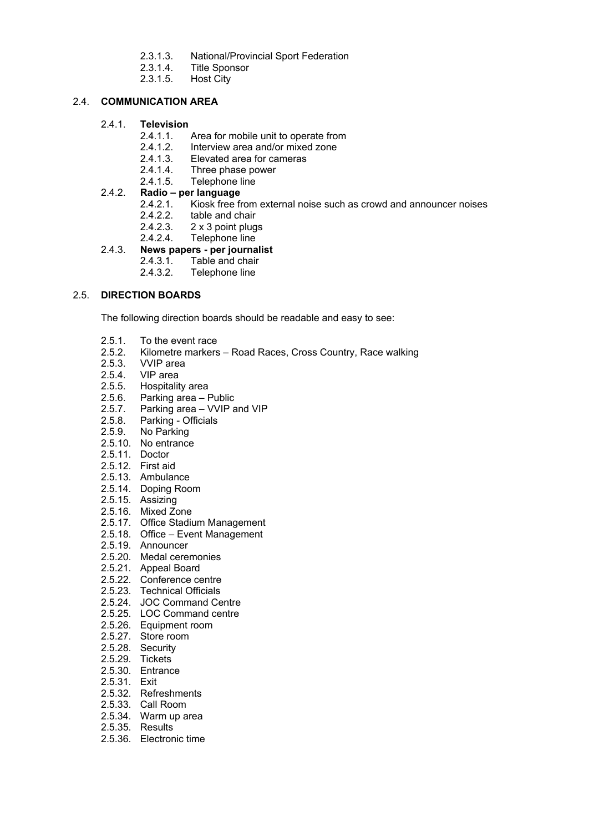- 2.3.1.3. National/Provincial Sport Federation
- 2.3.1.4. Title Sponsor
- 2.3.1.5. Host City

# 2.4. **COMMUNICATION AREA**

#### 2.4.1. **Television**

- 2.4.1.1. Area for mobile unit to operate from
- 2.4.1.2. Interview area and/or mixed zone
- 2.4.1.3. Elevated area for cameras
- 2.4.1.4. Three phase power<br>2.4.1.5. Telephone line
- Telephone line

# 2.4.2. **Radio – per language**

- 2.4.2.1. Kiosk free from external noise such as crowd and announcer noises
- 2.4.2.2. table and chair<br>2.4.2.3. 2 x 3 point plug<br>2.4.2.4. Telephone line
- 2 x 3 point plugs
- Telephone line

# 2.4.3. **News papers - per journalist**

- 2.4.3.1. Table and chair<br>2.4.3.2. Telephone line
	- Telephone line

#### 2.5. **DIRECTION BOARDS**

The following direction boards should be readable and easy to see:

- 2.5.1. To the event race
- 2.5.2. Kilometre markers Road Races, Cross Country, Race walking 2.5.3. VVIP area
- 2.5.3. VVIP area<br>2.5.4. VIP area
- VIP area
- 2.5.5. Hospitality area
- 2.5.6. Parking area Public<br>2.5.7. Parking area VVIP a
- 2.5.7. Parking area VVIP and VIP<br>2.5.8. Parking Officials
- 2.5.8. Parking Officials<br>2.5.9. No Parking
- No Parking
- 2.5.10. No entrance
- 2.5.11. Doctor
- 2.5.12. First aid
- 2.5.13. Ambulance
- 2.5.14. Doping Room
- 2.5.15. Assizing
- 2.5.16. Mixed Zone
- 2.5.17. Office Stadium Management
- 2.5.18. Office Event Management
- 2.5.19. Announcer
- 2.5.20. Medal ceremonies
- 2.5.21. Appeal Board
- 2.5.22. Conference centre
- 2.5.23. Technical Officials
- 2.5.24. JOC Command Centre
- 2.5.25. LOC Command centre
- 2.5.26. Equipment room
- 2.5.27. Store room
- 2.5.28. Security
- 2.5.29. Tickets
- 2.5.30. Entrance
- 2.5.31. Exit
- 2.5.32. Refreshments
- 2.5.33. Call Room
- 2.5.34. Warm up area
- 2.5.35. Results
- 2.5.36. Electronic time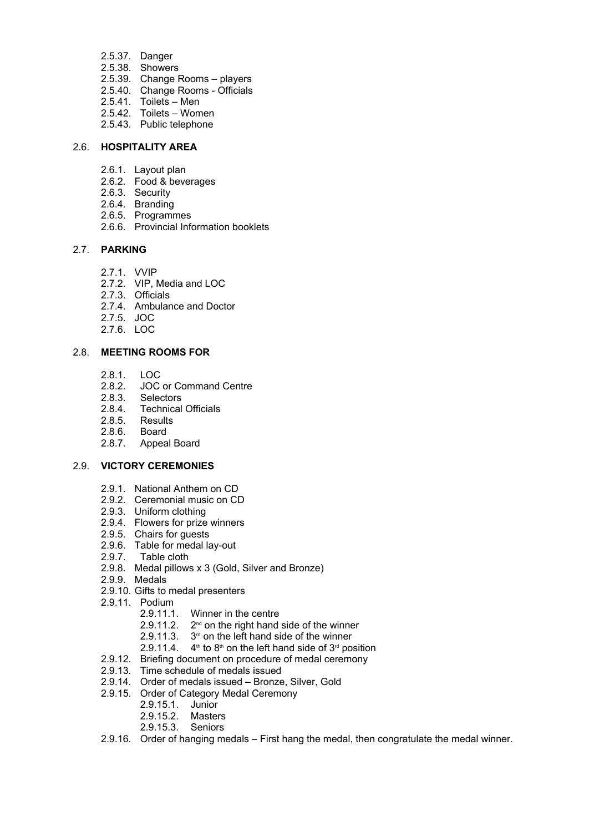- 2.5.37. Danger
- 2.5.38. Showers
- 2.5.39. Change Rooms players
- 2.5.40. Change Rooms Officials
- 2.5.41. Toilets Men
- 2.5.42. Toilets Women
- 2.5.43. Public telephone

#### 2.6. **HOSPITALITY AREA**

- 2.6.1. Layout plan
- 2.6.2. Food & beverages
- 2.6.3. Security
- 2.6.4. Branding
- 2.6.5. Programmes
- 2.6.6. Provincial Information booklets

#### 2.7. **PARKING**

- 2.7.1. VVIP
- 2.7.2. VIP, Media and LOC
- 2.7.3. Officials
- 2.7.4. Ambulance and Doctor
- 2.7.5. JOC
- 2.7.6. LOC

# 2.8. **MEETING ROOMS FOR**

- 2.8.1. LOC
- 2.8.2. JOC or Command Centre
- 2.8.3. Selectors
- 2.8.4. Technical Officials
- 2.8.5. Results
- 2.8.6. Board
- 2.8.7. Appeal Board

#### 2.9. **VICTORY CEREMONIES**

- 2.9.1. National Anthem on CD
- 2.9.2. Ceremonial music on CD
- 2.9.3. Uniform clothing
- 2.9.4. Flowers for prize winners
- 2.9.5. Chairs for guests
- 2.9.6. Table for medal lay-out
- 2.9.7. Table cloth
- 2.9.8. Medal pillows x 3 (Gold, Silver and Bronze)
- 2.9.9. Medals
- 2.9.10. Gifts to medal presenters
- 2.9.11. Podium
	- 2.9.11.1. Winner in the centre
	- $2.9.11.2$ .  $2<sup>nd</sup>$  on the right hand side of the winner
	- 2.9.11.3.  $3<sup>rd</sup>$  on the left hand side of the winner
	- 2.9.11.4.  $4<sup>th</sup>$  to 8<sup>th</sup> on the left hand side of 3<sup>rd</sup> position
- 2.9.12. Briefing document on procedure of medal ceremony
- 2.9.13. Time schedule of medals issued
- 2.9.14. Order of medals issued Bronze, Silver, Gold
- 2.9.15. Order of Category Medal Ceremony
	- 2.9.15.1. Junior
		- 2.9.15.2. Masters
	- 2.9.15.3. Seniors
- 2.9.16. Order of hanging medals First hang the medal, then congratulate the medal winner.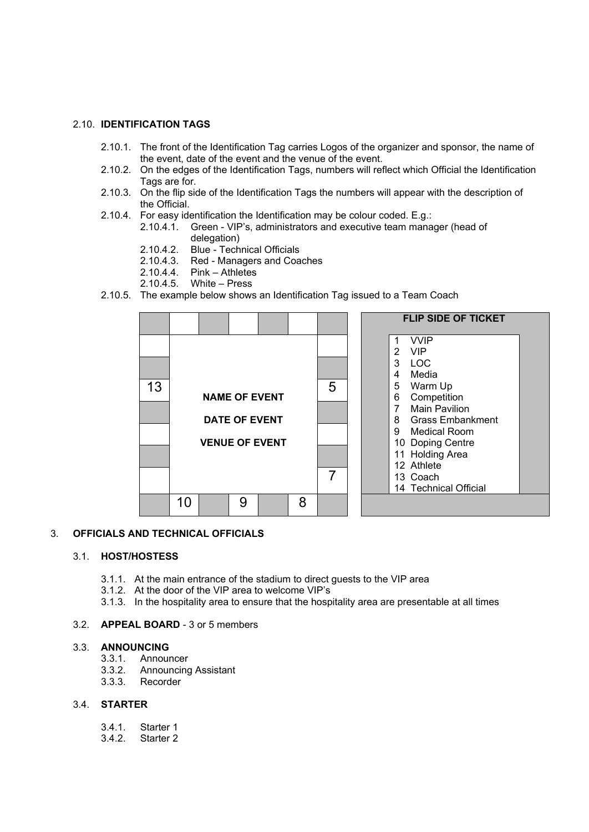#### 2.10. **IDENTIFICATION TAGS**

- 2.10.1. The front of the Identification Tag carries Logos of the organizer and sponsor, the name of the event, date of the event and the venue of the event.
- 2.10.2. On the edges of the Identification Tags, numbers will reflect which Official the Identification Tags are for.
- 2.10.3. On the flip side of the Identification Tags the numbers will appear with the description of the Official.
- 2.10.4. For easy identification the Identification may be colour coded. E.g.:
	- 2.10.4.1. Green VIP's, administrators and executive team manager (head of delegation)
	- 2.10.4.2. Blue Technical Officials<br>2.10.4.3. Red Managers and Coa
	- Red Managers and Coaches
	- 2.10.4.4. Pink Athletes
	- 2.10.4.5. White Press
- 2.10.5. The example below shows an Identification Tag issued to a Team Coach



#### 3. **OFFICIALS AND TECHNICAL OFFICIALS**

#### 3.1. **HOST/HOSTESS**

- 3.1.1. At the main entrance of the stadium to direct guests to the VIP area
- 3.1.2. At the door of the VIP area to welcome VIP's
- 3.1.3. In the hospitality area to ensure that the hospitality area are presentable at all times

#### 3.2. **APPEAL BOARD** - 3 or 5 members

#### 3.3. **ANNOUNCING**

- 3.3.1. Announcer<br>3.3.2. Announcino
- 3.3.2. Announcing Assistant
- 3.3.3. Recorder

#### 3.4. **STARTER**

- 3.4.1. Starter 1
- 3.4.2. Starter 2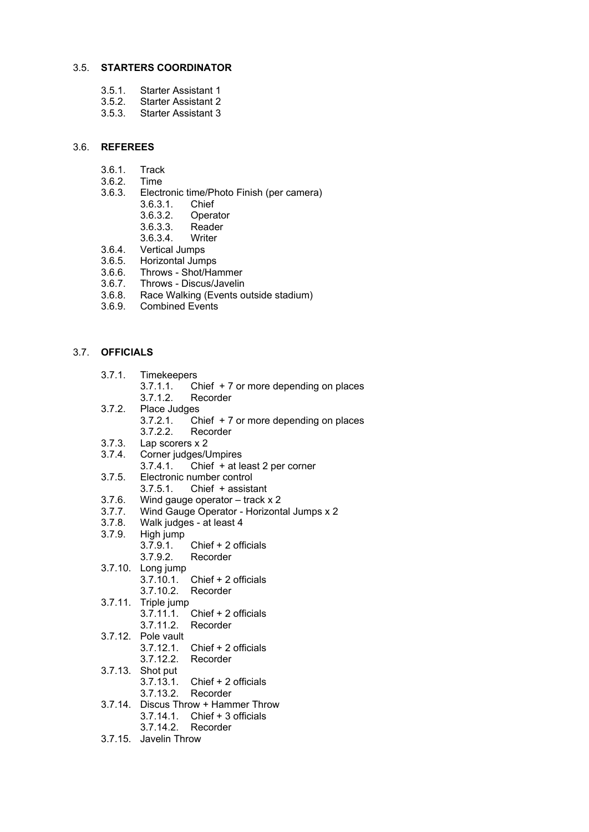#### 3.5. **STARTERS COORDINATOR**

- 3.5.1. Starter Assistant 1
- Starter Assistant 2
- 3.5.3. Starter Assistant 3

#### 3.6. **REFEREES**

- 3.6.1. Track
- 3.6.2. Time
- 3.6.3. Electronic time/Photo Finish (per camera)
	- 3.6.3.1. Chief
	- 3.6.3.2. Operator
	- 3.6.3.3. Reader
	- 3.6.3.4. Writer
- 3.6.4. Vertical Jumps
- 3.6.5. Horizontal Jumps
- 3.6.6. Throws Shot/Hammer
- 3.6.7. Throws Discus/Javelin
- 3.6.8. Race Walking (Events outside stadium)
- 3.6.9. Combined Events

#### 3.7. **OFFICIALS**

- 3.7.1. Timekeepers
	- 3.7.1.1. Chief + 7 or more depending on places
	- 3.7.1.2. Recorder
- 3.7.2. Place Judges
	- 3.7.2.1. Chief + 7 or more depending on places
	- Recorder
- 3.7.3. Lap scorers x 2
- 3.7.4. Corner judges/Umpires
	- 3.7.4.1. Chief + at least 2 per corner
- 3.7.5. Electronic number control
	- 3.7.5.1. Chief + assistant
- 3.7.6. Wind gauge operator track x 2
- 3.7.7. Wind Gauge Operator Horizontal Jumps x 2
- 3.7.8. Walk judges at least 4
- 3.7.9. High jump 3.7.9.1. Chief + 2 officials
- 3.7.9.2. Recorder 3.7.10. Long jump
- 3.7.10.1. Chief + 2 officials 3.7.10.2. Recorder
- 3.7.11. Triple jump
	- 3.7.11.1. Chief + 2 officials
- 3.7.11.2. Recorder
- 3.7.12. Pole vault
- 3.7.12.1. Chief + 2 officials
- 3.7.12.2. Recorder
- 3.7.13. Shot put
	- 3.7.13.1. Chief + 2 officials
		- 3.7.13.2. Recorder
- 3.7.14. Discus Throw + Hammer Throw 3.7.14.1. Chief + 3 officials 3.7.14.2. Recorder
- 3.7.15. Javelin Throw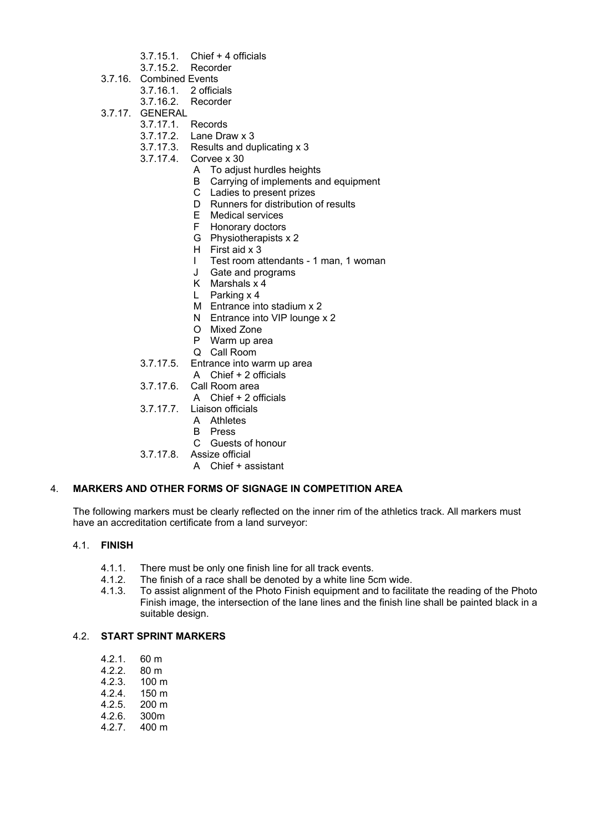- 3.7.15.1. Chief + 4 officials
- 3.7.15.2. Recorder
- 3.7.16. Combined Events
	- 3.7.16.1. 2 officials
	- 3.7.16.2. Recorder
- 3.7.17. GENERAL
	- 3.7.17.1. Records
	- 3.7.17.2. Lane Draw x 3
	- 3.7.17.3. Results and duplicating x 3
	- 3.7.17.4. Corvee x 30
		- A To adjust hurdles heights
			- B Carrying of implements and equipment
			- C Ladies to present prizes
			- D Runners for distribution of results
			- E Medical services
			- F Honorary doctors
			- G Physiotherapists x 2
			- H First aid x 3
			- I Test room attendants 1 man, 1 woman
			- J Gate and programs
			- K Marshals x 4
			- L Parking x 4
			- M Entrance into stadium x 2
			- N Entrance into VIP lounge x 2
			- O Mixed Zone
			- P Warm up area
			- Q Call Room
	- 3.7.17.5. Entrance into warm up area
	- A Chief + 2 officials
	- 3.7.17.6. Call Room area
		- A Chief + 2 officials
	- 3.7.17.7. Liaison officials
		- A Athletes
			- B Press
			- C Guests of honour
	- 3.7.17.8. Assize official
		- A Chief + assistant

# 4. **MARKERS AND OTHER FORMS OF SIGNAGE IN COMPETITION AREA**

The following markers must be clearly reflected on the inner rim of the athletics track. All markers must have an accreditation certificate from a land surveyor:

#### 4.1. **FINISH**

- 4.1.1. There must be only one finish line for all track events.
- 4.1.2. The finish of a race shall be denoted by a white line 5cm wide.
- 4.1.3. To assist alignment of the Photo Finish equipment and to facilitate the reading of the Photo Finish image, the intersection of the lane lines and the finish line shall be painted black in a suitable design.

# 4.2. **START SPRINT MARKERS**

- 
- 4.2.1. 60 m<br>4.2.2. 80 m  $4.2.2.$ <br> $4.2.3.$
- $100 m$
- 4.2.4. 150 m
- 4.2.5. 200 m
- 4.2.6. 300m
- 4.2.7. 400 m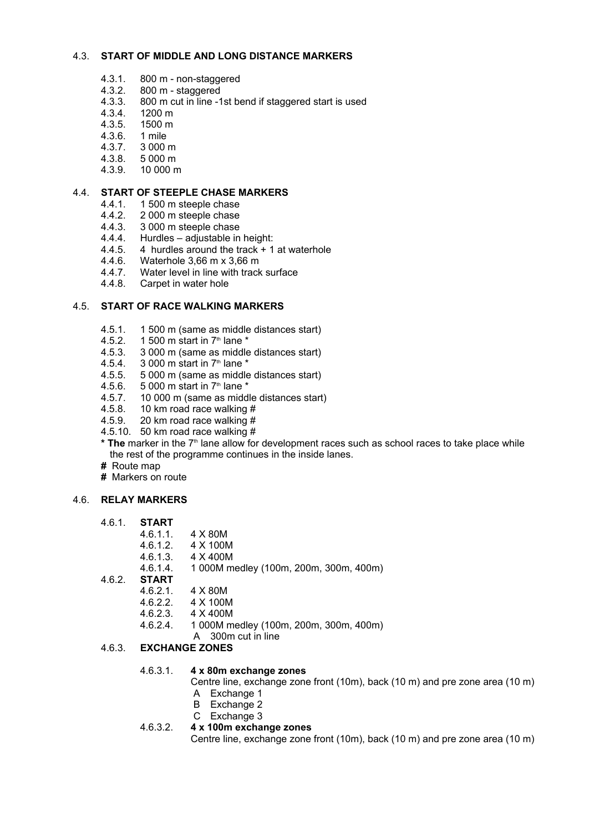#### 4.3. **START OF MIDDLE AND LONG DISTANCE MARKERS**

- 4.3.1. 800 m non-staggered
- 4.3.2. 800 m staggered
- 4.3.3. 800 m cut in line -1st bend if staggered start is used
- 4.3.4. 1200 m
- 4.3.5. 1500 m
- 4.3.6. 1 mile
- 4.3.7. 3 000 m
- 4.3.8. 5 000 m
- 4.3.9. 10 000 m

#### 4.4. **START OF STEEPLE CHASE MARKERS**

- 4.4.1. 1 500 m steeple chase
- 4.4.2. 2 000 m steeple chase
- 
- 4.4.3. 3 000 m steeple chase<br>4.4.4. Hurdles adiustable in Hurdles – adjustable in height:
- 4.4.5. 4 hurdles around the track + 1 at waterhole
- 4.4.6. Waterhole 3,66 m x 3,66 m<br>4.4.7. Water level in line with track
- Water level in line with track surface
- 4.4.8. Carpet in water hole

#### 4.5. **START OF RACE WALKING MARKERS**

- 4.5.1. 1 500 m (same as middle distances start)
- 4.5.2. 1 500 m start in  $7<sup>th</sup>$  lane  $*$
- 4.5.3. 3 000 m (same as middle distances start)
- 4.5.4. 3 000 m start in  $7<sup>th</sup>$  lane  $*$
- 4.5.5. 5 000 m (same as middle distances start)
- 4.5.6. 5 000 m start in  $7<sup>th</sup>$  lane  $*$
- 4.5.7. 10 000 m (same as middle distances start)<br>4.5.8. 10 km road race walking #
- 10 km road race walking  $#$
- 4.5.9. 20 km road race walking #
- 4.5.10. 50 km road race walking #
- \* The marker in the 7<sup>th</sup> lane allow for development races such as school races to take place while the rest of the programme continues in the inside lanes.
- **#** Route map
- **#** Markers on route

#### 4.6. **RELAY MARKERS**

- 4.6.1. **START**
	- 4.6.1.1. 4 X 80M
	- 4.6.1.2. 4 X 100M
	- 4.6.1.3. 4 X 400M
	- 4.6.1.4. 1 000M medley (100m, 200m, 300m, 400m)
- 4.6.2. **START**
	- 4.6.2.1. 4 X 80M
	- 4.6.2.2. 4 X 100M
	- 4.6.2.3. 4 X 400M
	- 4.6.2.4. 1 000M medley (100m, 200m, 300m, 400m)
		- A 300m cut in line

# 4.6.3. **EXCHANGE ZONES**

#### 4.6.3.1. **4 x 80m exchange zones**

Centre line, exchange zone front (10m), back (10 m) and pre zone area (10 m)

- A Exchange 1
- B Exchange 2
- C Exchange 3
- 4.6.3.2. **4 x 100m exchange zones**

Centre line, exchange zone front (10m), back (10 m) and pre zone area (10 m)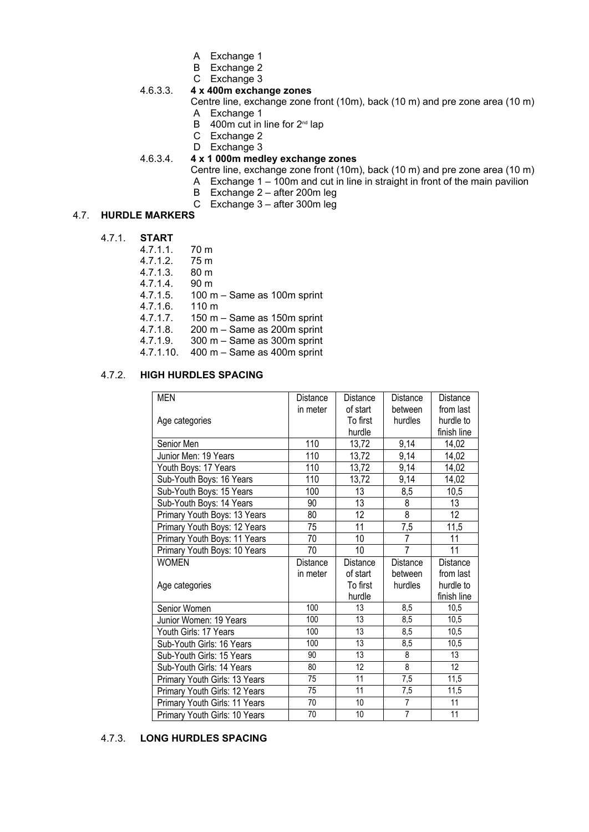- A Exchange 1
- B Exchange 2
- C Exchange 3

# 4.6.3.3. **4 x 400m exchange zones**

Centre line, exchange zone front (10m), back (10 m) and pre zone area (10 m) A Exchange 1

- B  $400m$  cut in line for  $2<sup>nd</sup>$  lap
- C Exchange 2
- D Exchange 3

# 4.6.3.4. **4 x 1 000m medley exchange zones**

- Centre line, exchange zone front (10m), back (10 m) and pre zone area (10 m)
- A Exchange 1 100m and cut in line in straight in front of the main pavilion
- B Exchange 2 after 200m leg
- C Exchange 3 after 300m leg

# 4.7. **HURDLE MARKERS**

#### 4.7.1. **START**

| 4.7.1.1. | 70 m                                           |
|----------|------------------------------------------------|
| 4.7.1.2. | 75 m                                           |
| 4.7.1.3. | 80 <sub>m</sub>                                |
| 4.7.1.4. | 90 <sub>m</sub>                                |
| 4.7.1.5. | 100 m - Same as 100m sprint                    |
| 4.7.1.6. | $110 \text{ m}$                                |
| 4.7.1.7. | 150 m $-$ Same as 150 m sprint                 |
| 4.7.1.8. | 200 m - Same as 200m sprint                    |
| 4.7.1.9. | 300 m - Same as 300m sprint                    |
| 17110    | $100 \text{ m}$ Came as $100 \text{ m}$ sprint |

4.7.1.10. 400 m – Same as 400m sprint

# 4.7.2. **HIGH HURDLES SPACING**

| <b>MEN</b>                    | <b>Distance</b> | <b>Distance</b> | <b>Distance</b>                  | <b>Distance</b>       |
|-------------------------------|-----------------|-----------------|----------------------------------|-----------------------|
|                               | in meter        | of start        | between                          | from last             |
| Age categories                |                 | To first        | hurdles                          | hurdle to             |
|                               |                 | hurdle          |                                  | finish line           |
| Senior Men                    | 110             | 13,72           | 9,14                             | 14,02                 |
| Junior Men: 19 Years          | 110             | 13,72           | 9,14                             | 14,02                 |
| Youth Boys: 17 Years          | 110             | 13,72           | 9,14                             | 14,02                 |
| Sub-Youth Boys: 16 Years      | 110             | 13,72           | 9,14                             | 14,02                 |
| Sub-Youth Boys: 15 Years      | 100             | 13              | 8,5                              | 10,5                  |
| Sub-Youth Boys: 14 Years      | 90              | 13              | 8                                | 13                    |
| Primary Youth Boys: 13 Years  | 80              | 12              | 8                                | 12                    |
| Primary Youth Boys: 12 Years  | 75              | 11              | 7,5                              | 11,5                  |
| Primary Youth Boys: 11 Years  | 70              | 10              | $\overline{7}$                   | 11                    |
| Primary Youth Boys: 10 Years  | 70              | 10              | 7                                | 11                    |
| <b>WOMEN</b>                  | Distance        | Distance        | Distance                         | Distance              |
|                               | in meter        | of start        | between                          | from last             |
|                               |                 | To first        | hurdles                          | hurdle to             |
| Age categories                |                 |                 |                                  |                       |
|                               |                 | hurdle          |                                  | finish line           |
| Senior Women                  | 100             | 13              | 8,5                              | 10.5                  |
| Junior Women: 19 Years        | 100             | 13              | 8,5                              | 10,5                  |
| Youth Girls: 17 Years         | 100             | 13              | 8,5                              | 10,5                  |
| Sub-Youth Girls: 16 Years     | 100             | 13              | 8,5                              | 10,5                  |
| Sub-Youth Girls: 15 Years     | 90              | 13              | 8                                | 13                    |
| Sub-Youth Girls: 14 Years     | 80              | 12              | 8                                | 12                    |
| Primary Youth Girls: 13 Years | 75              | 11              | 7,5                              | 11,5                  |
| Primary Youth Girls: 12 Years | 75              | 11              | 7,5                              | 11,5                  |
| Primary Youth Girls: 11 Years | 70<br>70        | 10<br>10        | $\overline{7}$<br>$\overline{7}$ | $\overline{11}$<br>11 |

# 4.7.3. **LONG HURDLES SPACING**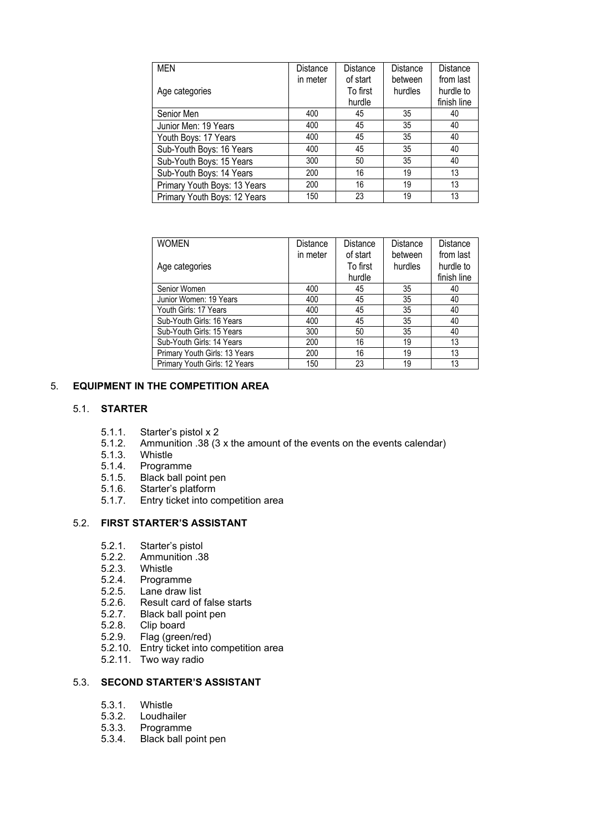| <b>MEN</b>                   | Distance | Distance | Distance | Distance    |
|------------------------------|----------|----------|----------|-------------|
|                              | in meter | of start | between  | from last   |
| Age categories               |          | To first | hurdles  | hurdle to   |
|                              |          | hurdle   |          | finish line |
| Senior Men                   | 400      | 45       | 35       | 40          |
| Junior Men: 19 Years         | 400      | 45       | 35       | 40          |
| Youth Boys: 17 Years         | 400      | 45       | 35       | 40          |
| Sub-Youth Boys: 16 Years     | 400      | 45       | 35       | 40          |
| Sub-Youth Boys: 15 Years     | 300      | 50       | 35       | 40          |
| Sub-Youth Boys: 14 Years     | 200      | 16       | 19       | 13          |
| Primary Youth Boys: 13 Years | 200      | 16       | 19       | 13          |
| Primary Youth Boys: 12 Years | 150      | 23       | 19       | 13          |

| <b>WOMEN</b>                  | Distance | <b>Distance</b> | <b>Distance</b> | Distance    |
|-------------------------------|----------|-----------------|-----------------|-------------|
|                               | in meter | of start        | between         | from last   |
| Age categories                |          | To first        | hurdles         | hurdle to   |
|                               |          | hurdle          |                 | finish line |
| Senior Women                  | 400      | 45              | 35              | 40          |
| Junior Women: 19 Years        | 400      | 45              | 35              | 40          |
| Youth Girls: 17 Years         | 400      | 45              | 35              | 40          |
| Sub-Youth Girls: 16 Years     | 400      | 45              | 35              | 40          |
| Sub-Youth Girls: 15 Years     | 300      | 50              | 35              | 40          |
| Sub-Youth Girls: 14 Years     | 200      | 16              | 19              | 13          |
| Primary Youth Girls: 13 Years | 200      | 16              | 19              | 13          |
| Primary Youth Girls: 12 Years | 150      | 23              | 19              | 13          |

# 5. **EQUIPMENT IN THE COMPETITION AREA**

#### 5.1. **STARTER**

- 
- 5.1.1. Starter's pistol x 2<br>5.1.2. Ammunition .38 (3 5.1.2. Ammunition .38 (3 x the amount of the events on the events calendar)
- 5.1.3. Whistle
- 
- 5.1.4. Programme 5.1.5. Black ball point pen<br>5.1.6. Starter's platform
- 5.1.6. Starter's platform<br>5.1.7. Entry ticket into co
- 5.1.7. Entry ticket into competition area

# 5.2. **FIRST STARTER'S ASSISTANT**

- 5.2.1. Starter's pistol
- 5.2.2. Ammunition .38
- 5.2.3. Whistle
- 5.2.4. Programme
- 
- 5.2.5. Lane draw list Result card of false starts
- 5.2.7. Black ball point pen
- 
- 5.2.8. Clip board<br>5.2.9. Flag (greer Flag (green/red)
- 5.2.10. Entry ticket into competition area
- 5.2.11. Two way radio

#### 5.3. **SECOND STARTER'S ASSISTANT**

- 5.3.1. Whistle
- 5.3.2. Loudhailer
- 5.3.3. Programme
- 5.3.4. Black ball point pen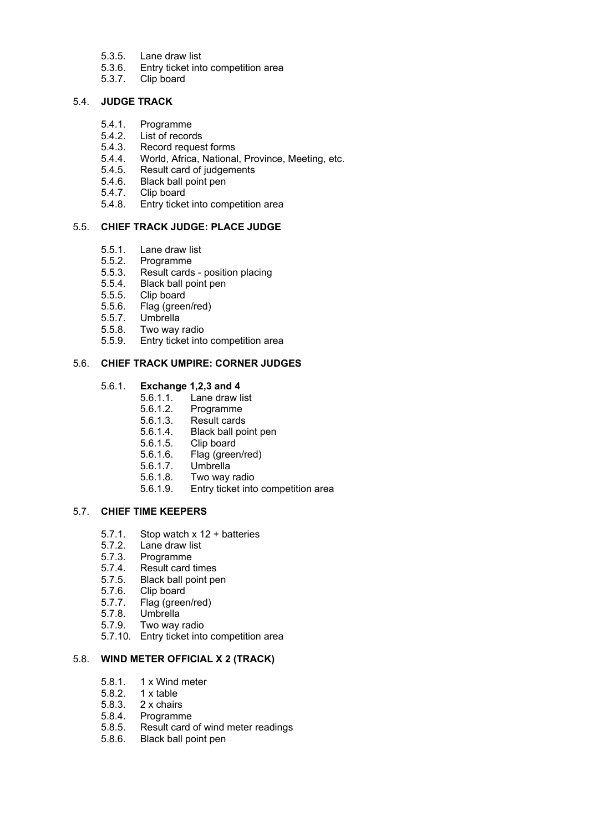- 5.3.5. Lane draw list<br>5.3.6. Entry ticket inte
- 5.3.6. Entry ticket into competition area
- 5.3.7. Clip board

# 5.4. **JUDGE TRACK**

- 5.4.1. Programme
- 5.4.2. List of records
- 5.4.3. Record request forms
- 5.4.4. World, Africa, National, Province, Meeting, etc.
- 5.4.5. Result card of judgements
- 5.4.6. Black ball point pen
- 5.4.7. Clip board<br>5.4.8. Entry ticke
- 5.4.8. Entry ticket into competition area

# 5.5. **CHIEF TRACK JUDGE: PLACE JUDGE**

- 5.5.1. Lane draw list<br>5.5.2. Programme
- 
- 5.5.2. Programme 5.5.3. Result cards - position placing
- 5.5.4. Black ball point pen<br>5.5.5. Clip board
- 
- 5.5.5. Clip board<br>5.5.6. Flag (green Flag (green/red)
- 5.5.7. Umbrella
- 5.5.8. Two way radio
- 5.5.9. Entry ticket into competition area

#### 5.6. **CHIEF TRACK UMPIRE: CORNER JUDGES**

#### 5.6.1. **Exchange 1,2,3 and 4**

- 5.6.1.1. Lane draw list
- 5.6.1.2. Programme
- 5.6.1.3. Result cards
- 5.6.1.4. Black ball point pen
- Clip board
- 5.6.1.6. Flag (green/red)
- 5.6.1.7. Umbrella
- 5.6.1.8. Two way radio
- 5.6.1.9. Entry ticket into competition area

#### 5.7. **CHIEF TIME KEEPERS**

- 5.7.1. Stop watch x 12 + batteries<br>5.7.2. Lane draw list
- Lane draw list
- 5.7.3. Programme
- 5.7.4. Result card times
- 5.7.5. Black ball point pen
- 
- 5.7.6. Clip board<br>5.7.7. Flag (gree) Flag (green/red)
- 5.7.8. Umbrella
- 5.7.9. Two way radio
- 5.7.10. Entry ticket into competition area

# 5.8. **WIND METER OFFICIAL X 2 (TRACK)**

- 5.8.1. 1 x Wind meter
- 
- 5.8.2. 1 x table<br>5.8.3. 2 x chairs
- 5.8.3. 2 x chairs
- 5.8.4. Programme Result card of wind meter readings
- 5.8.6. Black ball point pen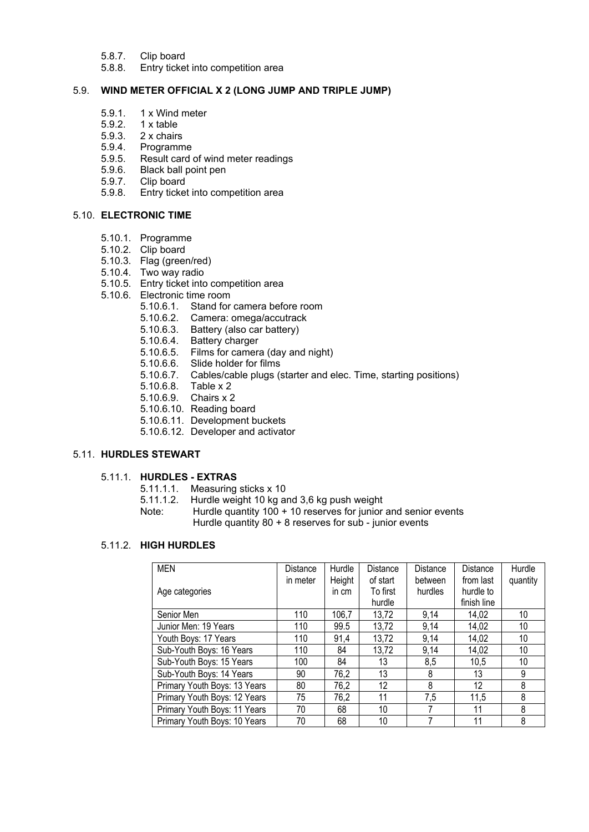- 5.8.7. Clip board
- 5.8.8. Entry ticket into competition area

#### 5.9. **WIND METER OFFICIAL X 2 (LONG JUMP AND TRIPLE JUMP)**

- 5.9.1. 1 x Wind meter
- 5.9.2. 1 x table
- 5.9.3. 2 x chairs
- 5.9.4. Programme
- 5.9.5. Result card of wind meter readings
- 5.9.6. Black ball point pen<br>5.9.7. Clip board
- Clip board
- 5.9.8. Entry ticket into competition area

#### 5.10. **ELECTRONIC TIME**

- 5.10.1. Programme
- 5.10.2. Clip board
- 5.10.3. Flag (green/red)
- 5.10.4. Two way radio
- 5.10.5. Entry ticket into competition area
- 5.10.6. Electronic time room
	- 5.10.6.1. Stand for camera before room
	- 5.10.6.2. Camera: omega/accutrack
	- 5.10.6.3. Battery (also car battery)
	- 5.10.6.4. Battery charger
	- 5.10.6.5. Films for camera (day and night)
	- 5.10.6.6. Slide holder for films
	- 5.10.6.7. Cables/cable plugs (starter and elec. Time, starting positions)
	- 5.10.6.8. Table x 2
	- 5.10.6.9. Chairs x 2
	- 5.10.6.10. Reading board
	- 5.10.6.11. Development buckets
	- 5.10.6.12. Developer and activator

#### 5.11. **HURDLES STEWART**

#### 5.11.1. **HURDLES - EXTRAS**

- 5.11.1.1. Measuring sticks x 10
- 5.11.1.2. Hurdle weight 10 kg and 3,6 kg push weight
- Note: Hurdle quantity 100 + 10 reserves for junior and senior events Hurdle quantity 80 + 8 reserves for sub - junior events

# 5.11.2. **HIGH HURDLES**

| <b>MEN</b>                   | Distance | Hurdle | Distance | Distance | Distance    | Hurdle   |
|------------------------------|----------|--------|----------|----------|-------------|----------|
|                              | in meter | Height | of start | between  | from last   | quantity |
| Age categories               |          | in cm  | To first | hurdles  | hurdle to   |          |
|                              |          |        | hurdle   |          | finish line |          |
| Senior Men                   | 110      | 106,7  | 13,72    | 9,14     | 14,02       | 10       |
| Junior Men: 19 Years         | 110      | 99.5   | 13,72    | 9,14     | 14,02       | 10       |
| Youth Boys: 17 Years         | 110      | 91,4   | 13,72    | 9,14     | 14,02       | 10       |
| Sub-Youth Boys: 16 Years     | 110      | 84     | 13,72    | 9,14     | 14,02       | 10       |
| Sub-Youth Boys: 15 Years     | 100      | 84     | 13       | 8,5      | 10.5        | 10       |
| Sub-Youth Boys: 14 Years     | 90       | 76,2   | 13       | 8        | 13          | 9        |
| Primary Youth Boys: 13 Years | 80       | 76,2   | 12       | 8        | 12          | 8        |
| Primary Youth Boys: 12 Years | 75       | 76,2   | 11       | 7,5      | 11,5        | 8        |
| Primary Youth Boys: 11 Years | 70       | 68     | 10       |          | 11          | 8        |
| Primary Youth Boys: 10 Years | 70       | 68     | 10       |          | 11          | 8        |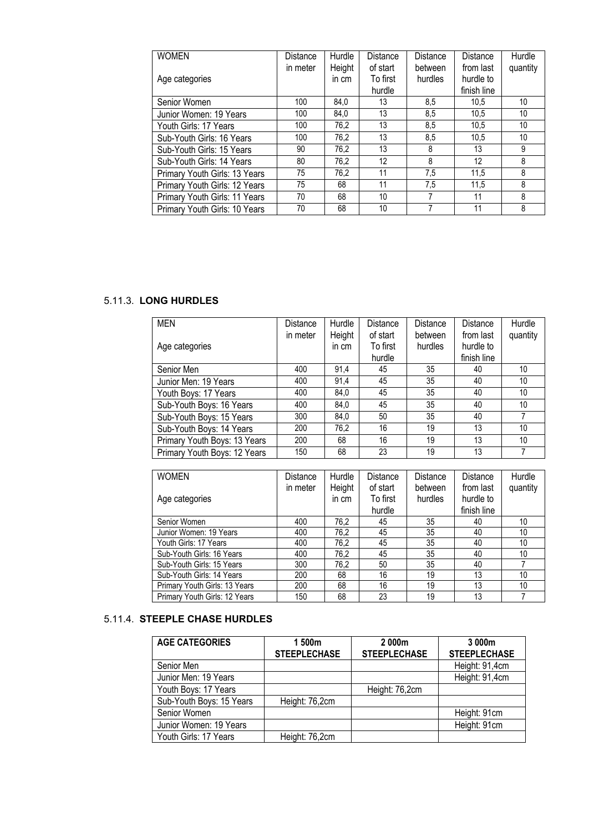| <b>WOMEN</b>                  | <b>Distance</b> | Hurdle | Distance | <b>Distance</b> | Distance    | Hurdle   |
|-------------------------------|-----------------|--------|----------|-----------------|-------------|----------|
|                               | in meter        | Height | of start | between         | from last   | quantity |
| Age categories                |                 | in cm  | To first | hurdles         | hurdle to   |          |
|                               |                 |        | hurdle   |                 | finish line |          |
| Senior Women                  | 100             | 84.0   | 13       | 8.5             | 10.5        | 10       |
| Junior Women: 19 Years        | 100             | 84.0   | 13       | 8.5             | 10.5        | 10       |
| Youth Girls: 17 Years         | 100             | 76,2   | 13       | 8,5             | 10.5        | 10       |
| Sub-Youth Girls: 16 Years     | 100             | 76.2   | 13       | 8.5             | 10.5        | 10       |
| Sub-Youth Girls: 15 Years     | 90              | 76,2   | 13       | 8               | 13          | 9        |
| Sub-Youth Girls: 14 Years     | 80              | 76.2   | 12       | 8               | 12          | 8        |
| Primary Youth Girls: 13 Years | 75              | 76.2   | 11       | 7.5             | 11.5        | 8        |
| Primary Youth Girls: 12 Years | 75              | 68     | 11       | 7,5             | 11,5        | 8        |
| Primary Youth Girls: 11 Years | 70              | 68     | 10       |                 | 11          | 8        |
| Primary Youth Girls: 10 Years | 70              | 68     | 10       |                 | 11          | 8        |

# 5.11.3. **LONG HURDLES**

| <b>MEN</b>                   | Distance | Hurdle | Distance | Distance | Distance    | Hurdle   |
|------------------------------|----------|--------|----------|----------|-------------|----------|
|                              | in meter | Height | of start | between  | from last   | quantity |
| Age categories               |          | in cm  | To first | hurdles  | hurdle to   |          |
|                              |          |        | hurdle   |          | finish line |          |
| Senior Men                   | 400      | 91,4   | 45       | 35       | 40          | 10       |
| Junior Men: 19 Years         | 400      | 91.4   | 45       | 35       | 40          | 10       |
| Youth Boys: 17 Years         | 400      | 84.0   | 45       | 35       | 40          | 10       |
| Sub-Youth Boys: 16 Years     | 400      | 84.0   | 45       | 35       | 40          | 10       |
| Sub-Youth Boys: 15 Years     | 300      | 84.0   | 50       | 35       | 40          |          |
| Sub-Youth Boys: 14 Years     | 200      | 76,2   | 16       | 19       | 13          | 10       |
| Primary Youth Boys: 13 Years | 200      | 68     | 16       | 19       | 13          | 10       |
| Primary Youth Boys: 12 Years | 150      | 68     | 23       | 19       | 13          | 7        |

| <b>WOMEN</b>                  | Distance | Hurdle | Distance | Distance | Distance    | Hurdle   |
|-------------------------------|----------|--------|----------|----------|-------------|----------|
|                               | in meter | Height | of start | between  | from last   | quantity |
| Age categories                |          | in cm  | To first | hurdles  | hurdle to   |          |
|                               |          |        | hurdle   |          | finish line |          |
| Senior Women                  | 400      | 76.2   | 45       | 35       | 40          | 10       |
| Junior Women: 19 Years        | 400      | 76.2   | 45       | 35       | 40          | 10       |
| Youth Girls: 17 Years         | 400      | 76.2   | 45       | 35       | 40          | 10       |
| Sub-Youth Girls: 16 Years     | 400      | 76.2   | 45       | 35       | 40          | 10       |
| Sub-Youth Girls: 15 Years     | 300      | 76.2   | 50       | 35       | 40          |          |
| Sub-Youth Girls: 14 Years     | 200      | 68     | 16       | 19       | 13          | 10       |
| Primary Youth Girls: 13 Years | 200      | 68     | 16       | 19       | 13          | 10       |
| Primary Youth Girls: 12 Years | 150      | 68     | 23       | 19       | 13          |          |

# 5.11.4. **STEEPLE CHASE HURDLES**

| <b>AGE CATEGORIES</b>    | 500 <sub>m</sub>    | 2000 <sub>m</sub>   | 3 000m              |
|--------------------------|---------------------|---------------------|---------------------|
|                          | <b>STEEPLECHASE</b> | <b>STEEPLECHASE</b> | <b>STEEPLECHASE</b> |
| Senior Men               |                     |                     | Height: 91,4cm      |
| Junior Men: 19 Years     |                     |                     | Height: 91,4cm      |
| Youth Boys: 17 Years     |                     | Height: 76,2cm      |                     |
| Sub-Youth Boys: 15 Years | Height: 76,2cm      |                     |                     |
| Senior Women             |                     |                     | Height: 91cm        |
| Junior Women: 19 Years   |                     |                     | Height: 91cm        |
| Youth Girls: 17 Years    | Height: 76,2cm      |                     |                     |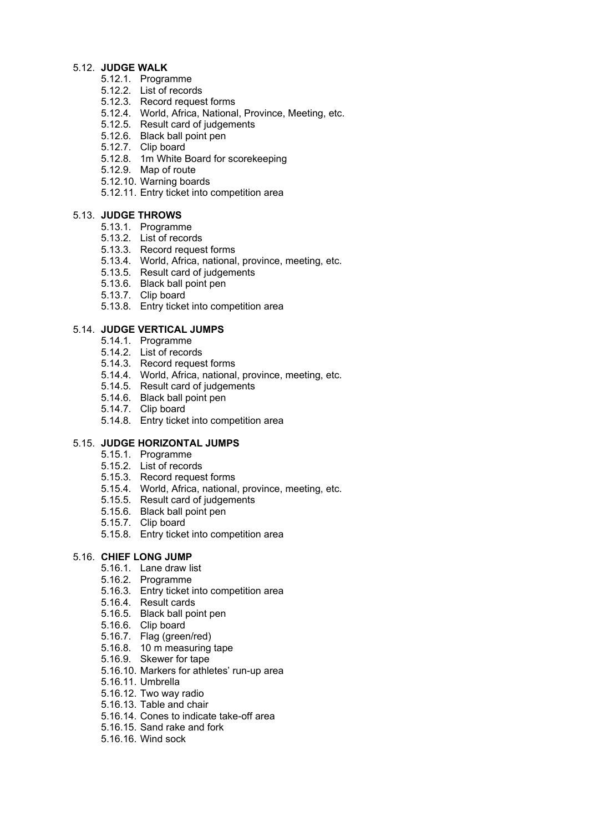#### 5.12. **JUDGE WALK**

- 5.12.1. Programme
- 5.12.2. List of records
- 5.12.3. Record request forms
- 5.12.4. World, Africa, National, Province, Meeting, etc.
- 5.12.5. Result card of judgements
- 5.12.6. Black ball point pen
- 5.12.7. Clip board
- 5.12.8. 1m White Board for scorekeeping
- 5.12.9. Map of route
- 5.12.10. Warning boards
- 5.12.11. Entry ticket into competition area

#### 5.13. **JUDGE THROWS**

- 5.13.1. Programme
- 5.13.2. List of records
- 5.13.3. Record request forms
- 5.13.4. World, Africa, national, province, meeting, etc.
- 5.13.5. Result card of judgements
- 5.13.6. Black ball point pen
- 5.13.7. Clip board
- 5.13.8. Entry ticket into competition area

#### 5.14. **JUDGE VERTICAL JUMPS**

- 5.14.1. Programme
- 5.14.2. List of records
- 5.14.3. Record request forms
- 5.14.4. World, Africa, national, province, meeting, etc.
- 5.14.5. Result card of judgements
- 5.14.6. Black ball point pen
- 5.14.7. Clip board
- 5.14.8. Entry ticket into competition area

#### 5.15. **JUDGE HORIZONTAL JUMPS**

- 5.15.1. Programme
- 5.15.2. List of records
- 5.15.3. Record request forms
- 5.15.4. World, Africa, national, province, meeting, etc.
- 5.15.5. Result card of judgements
- 5.15.6. Black ball point pen
- 5.15.7. Clip board
- 5.15.8. Entry ticket into competition area

#### 5.16. **CHIEF LONG JUMP**

- 5.16.1. Lane draw list
- 5.16.2. Programme
- 5.16.3. Entry ticket into competition area
- 5.16.4. Result cards
- 5.16.5. Black ball point pen
- 5.16.6. Clip board
- 5.16.7. Flag (green/red)
- 5.16.8. 10 m measuring tape
- 5.16.9. Skewer for tape
- 5.16.10. Markers for athletes' run-up area
- 5.16.11. Umbrella
- 5.16.12. Two way radio
- 5.16.13. Table and chair
- 5.16.14. Cones to indicate take-off area
- 5.16.15. Sand rake and fork
- 5.16.16. Wind sock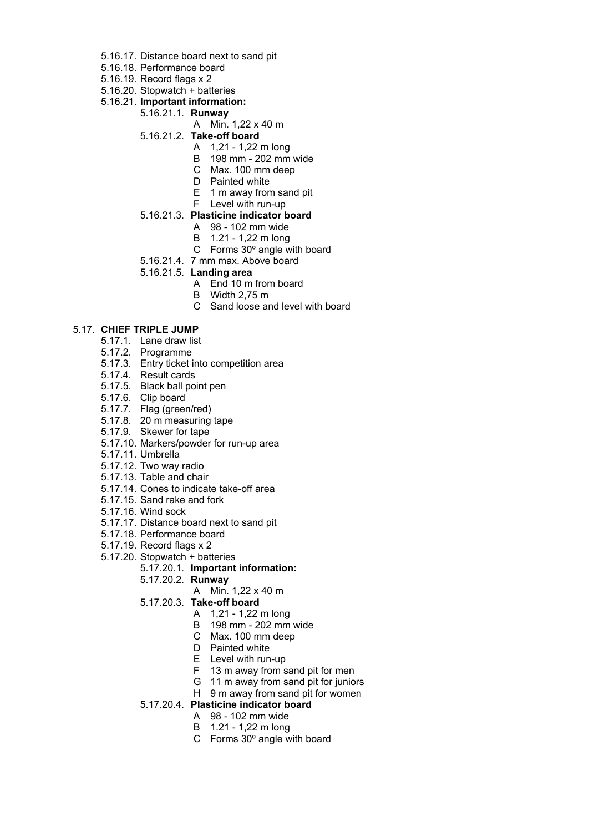- 5.16.17. Distance board next to sand pit
- 5.16.18. Performance board
- 5.16.19. Record flags x 2
- 5.16.20. Stopwatch + batteries
- 5.16.21. **Important information:**
	- 5.16.21.1. **Runway**
		- A Min. 1,22 x 40 m
		- 5.16.21.2. **Take-off board**
			- A 1,21 1,22 m long
			- B 198 mm 202 mm wide
			- C Max. 100 mm deep
			- D Painted white
			- E 1 m away from sand pit
			- F Level with run-up
		- 5.16.21.3. **Plasticine indicator board**
			- A 98 102 mm wide
			- B 1.21 1,22 m long
			- C Forms 30º angle with board
		- 5.16.21.4. 7 mm max. Above board
		- 5.16.21.5. **Landing area**
			- A End 10 m from board
			- B Width 2,75 m
			- C Sand loose and level with board

#### 5.17. **CHIEF TRIPLE JUMP**

- 5.17.1. Lane draw list
- 5.17.2. Programme
- 5.17.3. Entry ticket into competition area
- 5.17.4. Result cards
- 5.17.5. Black ball point pen
- 5.17.6. Clip board
- 5.17.7. Flag (green/red)
- 5.17.8. 20 m measuring tape
- 5.17.9. Skewer for tape
- 5.17.10. Markers/powder for run-up area
- 5.17.11. Umbrella
- 5.17.12. Two way radio
- 5.17.13. Table and chair
- 5.17.14. Cones to indicate take-off area
- 5.17.15. Sand rake and fork
- 5.17.16. Wind sock
- 5.17.17. Distance board next to sand pit
- 5.17.18. Performance board
- 5.17.19. Record flags x 2
- 5.17.20. Stopwatch + batteries

#### 5.17.20.1. **Important information:**

- 5.17.20.2. **Runway**
	- A Min. 1,22 x 40 m
- 5.17.20.3. **Take-off board**
	- A 1,21 1,22 m long
	- B 198 mm 202 mm wide
	- C Max. 100 mm deep
	- D Painted white
	- E Level with run-up
	- F 13 m away from sand pit for men
	- G 11 m away from sand pit for juniors
	- H 9 m away from sand pit for women
- 5.17.20.4. **Plasticine indicator board**
	- A 98 102 mm wide
	- B 1.21 1,22 m long
	- C Forms 30º angle with board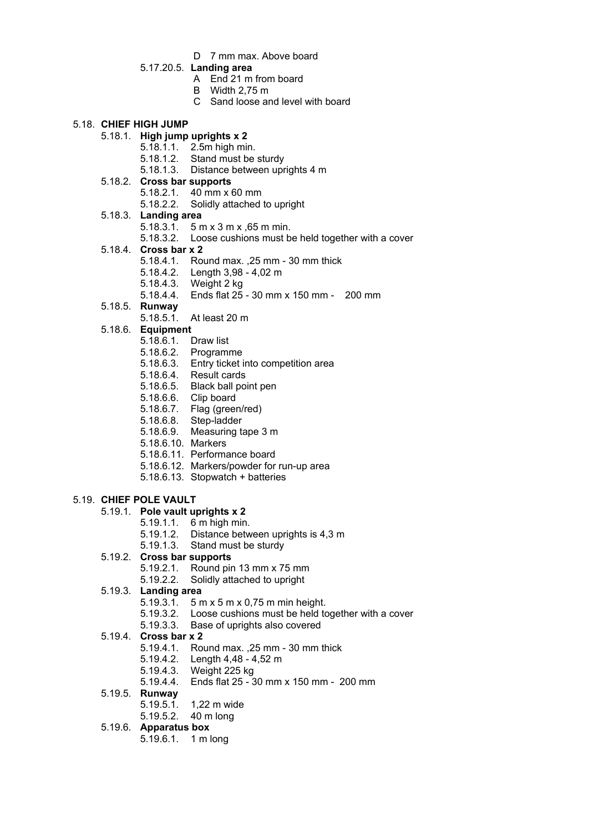- D 7 mm max. Above board
- 5.17.20.5. **Landing area**
	- A End 21 m from board
	- B Width 2,75 m
	- C Sand loose and level with board

#### 5.18. **CHIEF HIGH JUMP**

- 5.18.1. **High jump uprights x 2**
	- 5.18.1.1. 2.5m high min.
	- 5.18.1.2. Stand must be sturdy
	- 5.18.1.3. Distance between uprights 4 m

#### 5.18.2. **Cross bar supports**

- 5.18.2.1. 40 mm x 60 mm
- 5.18.2.2. Solidly attached to upright
- 5.18.3. **Landing area**
	- 5.18.3.1. 5 m x 3 m x ,65 m min.
	- 5.18.3.2. Loose cushions must be held together with a cover
- 5.18.4. **Cross bar x 2**
	- 5.18.4.1. Round max. ,25 mm 30 mm thick
	- 5.18.4.2. Length 3,98 4,02 m
	- 5.18.4.3. Weight 2 kg
	- 5.18.4.4. Ends flat 25 30 mm x 150 mm 200 mm
- 5.18.5. **Runway**
	- 5.18.5.1. At least 20 m
- 5.18.6. **Equipment**
	- 5.18.6.1. Draw list
	- 5.18.6.2. Programme
	- 5.18.6.3. Entry ticket into competition area
	- 5.18.6.4. Result cards
	- 5.18.6.5. Black ball point pen
	- 5.18.6.6. Clip board
	- 5.18.6.7. Flag (green/red)
	- 5.18.6.8. Step-ladder
	- 5.18.6.9. Measuring tape 3 m
	- 5.18.6.10. Markers
	- 5.18.6.11. Performance board
	- 5.18.6.12. Markers/powder for run-up area
	- 5.18.6.13. Stopwatch + batteries

# 5.19. **CHIEF POLE VAULT**

- 5.19.1. **Pole vault uprights x 2**
	- 5.19.1.1. 6 m high min.
	- 5.19.1.2. Distance between uprights is 4,3 m
	- 5.19.1.3. Stand must be sturdy
- 5.19.2. **Cross bar supports**
	- 5.19.2.1. Round pin 13 mm x 75 mm
	- 5.19.2.2. Solidly attached to upright
- 5.19.3. **Landing area**
	- 5.19.3.1. 5 m x 5 m x 0,75 m min height.
	- 5.19.3.2. Loose cushions must be held together with a cover
	- 5.19.3.3. Base of uprights also covered

# 5.19.4. **Cross bar x 2**

- 5.19.4.1. Round max. ,25 mm 30 mm thick
- 5.19.4.2. Length 4,48 4,52 m
- 5.19.4.3. Weight 225 kg
- 5.19.4.4. Ends flat 25 30 mm x 150 mm 200 mm

#### 5.19.5. **Runway**

- 5.19.5.1. 1,22 m wide
	- 5.19.5.2. 40 m long
- 5.19.6. **Apparatus box**
	- 5.19.6.1. 1 m long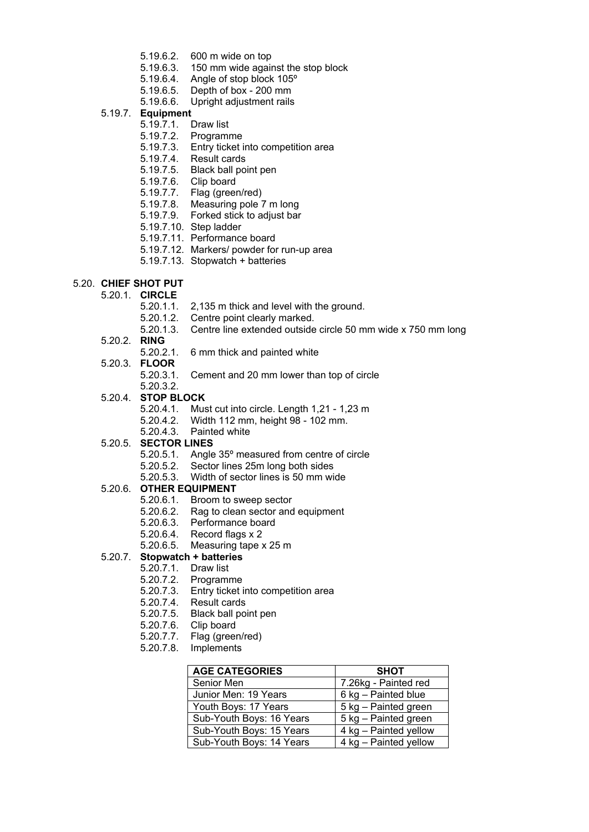- 5.19.6.2. 600 m wide on top
- 5.19.6.3. 150 mm wide against the stop block
- 5.19.6.4. Angle of stop block 105º
- 5.19.6.5. Depth of box 200 mm
- 5.19.6.6. Upright adjustment rails

#### 5.19.7. **Equipment**

- 5.19.7.1. Draw list
- 5.19.7.2. Programme
- 5.19.7.3. Entry ticket into competition area
- 5.19.7.4. Result cards
- 5.19.7.5. Black ball point pen
- 5.19.7.6. Clip board
- 5.19.7.7. Flag (green/red)
- 5.19.7.8. Measuring pole 7 m long
- 5.19.7.9. Forked stick to adjust bar
- 5.19.7.10. Step ladder
- 5.19.7.11. Performance board
- 5.19.7.12. Markers/ powder for run-up area
- 5.19.7.13. Stopwatch + batteries

# 5.20. **CHIEF SHOT PUT**

- 5.20.1. **CIRCLE**
	- 5.20.1.1. 2,135 m thick and level with the ground.
	- 5.20.1.2. Centre point clearly marked.
	- 5.20.1.3. Centre line extended outside circle 50 mm wide x 750 mm long
- 5.20.2. **RING**
	- 5.20.2.1. 6 mm thick and painted white
- 5.20.3. **FLOOR**
	- 5.20.3.1. Cement and 20 mm lower than top of circle
	- 5.20.3.2.
- 5.20.4. **STOP BLOCK**
	- 5.20.4.1. Must cut into circle. Length 1,21 1,23 m
	- 5.20.4.2. Width 112 mm, height 98 102 mm.
	- 5.20.4.3. Painted white

#### 5.20.5. **SECTOR LINES**

- 5.20.5.1. Angle 35° measured from centre of circle
- 5.20.5.2. Sector lines 25m long both sides
- 5.20.5.3. Width of sector lines is 50 mm wide

# 5.20.6. **OTHER EQUIPMENT**

- 5.20.6.1. Broom to sweep sector
- 5.20.6.2. Rag to clean sector and equipment
- 5.20.6.3. Performance board
- 5.20.6.4. Record flags x 2
- 5.20.6.5. Measuring tape x 25 m
- 5.20.7. **Stopwatch + batteries**
	- 5.20.7.1. Draw list
		- 5.20.7.2. Programme
		- 5.20.7.3. Entry ticket into competition area
		- 5.20.7.4. Result cards
		- 5.20.7.5. Black ball point pen
		- 5.20.7.6. Clip board
		- 5.20.7.7. Flag (green/red)
		- 5.20.7.8. Implements

| <b>AGE CATEGORIES</b>    | <b>SHOT</b>           |
|--------------------------|-----------------------|
| Senior Men               | 7.26kg - Painted red  |
| Junior Men: 19 Years     | 6 kg - Painted blue   |
| Youth Boys: 17 Years     | 5 kg – Painted green  |
| Sub-Youth Boys: 16 Years | 5 kg - Painted green  |
| Sub-Youth Boys: 15 Years | 4 kg – Painted yellow |
| Sub-Youth Boys: 14 Years | 4 kg - Painted yellow |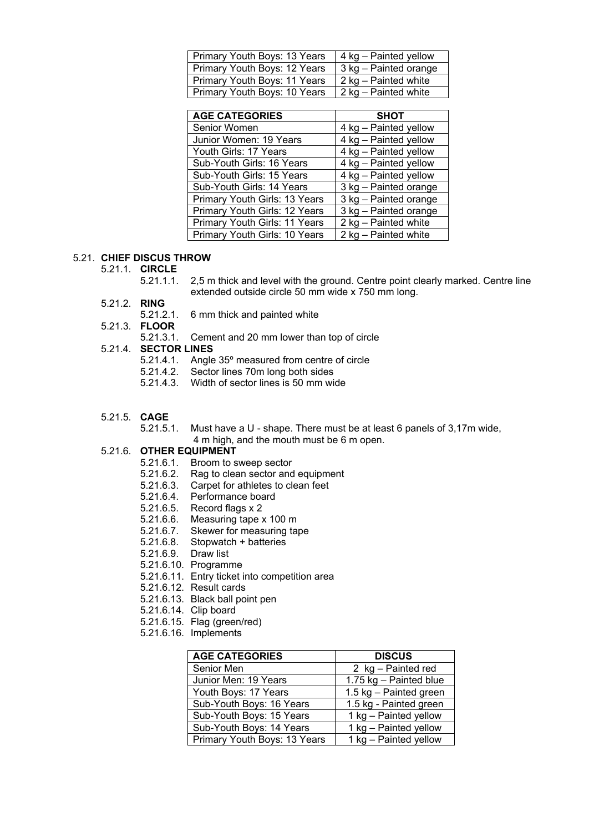| Primary Youth Boys: 13 Years | 4 kg – Painted yellow |
|------------------------------|-----------------------|
| Primary Youth Boys: 12 Years | 3 kg – Painted orange |
| Primary Youth Boys: 11 Years | 2 kg – Painted white  |
| Primary Youth Boys: 10 Years | 2 kg – Painted white  |

| <b>AGE CATEGORIES</b>         | <b>SHOT</b>           |
|-------------------------------|-----------------------|
| Senior Women                  | 4 kg - Painted yellow |
| Junior Women: 19 Years        | 4 kg - Painted yellow |
| Youth Girls: 17 Years         | 4 kg - Painted yellow |
| Sub-Youth Girls: 16 Years     | 4 kg - Painted yellow |
| Sub-Youth Girls: 15 Years     | 4 kg - Painted yellow |
| Sub-Youth Girls: 14 Years     | 3 kg - Painted orange |
| Primary Youth Girls: 13 Years | 3 kg - Painted orange |
| Primary Youth Girls: 12 Years | 3 kg - Painted orange |
| Primary Youth Girls: 11 Years | 2 kg - Painted white  |
| Primary Youth Girls: 10 Years | 2 kg - Painted white  |

#### 5.21. **CHIEF DISCUS THROW**

- 5.21.1. **CIRCLE**
	- 5.21.1.1. 2,5 m thick and level with the ground. Centre point clearly marked. Centre line extended outside circle 50 mm wide x 750 mm long.
- 5.21.2. **RING**
	- 5.21.2.1. 6 mm thick and painted white
- 5.21.3. **FLOOR**
	- 5.21.3.1. Cement and 20 mm lower than top of circle

# 5.21.4. **SECTOR LINES**

- 5.21.4.1. Angle 35º measured from centre of circle
- 5.21.4.2. Sector lines 70m long both sides
- 5.21.4.3. Width of sector lines is 50 mm wide
- 5.21.5. **CAGE**
	- 5.21.5.1. Must have a U shape. There must be at least 6 panels of 3,17m wide, 4 m high, and the mouth must be 6 m open.

#### 5.21.6. **OTHER EQUIPMENT**

- 5.21.6.1. Broom to sweep sector
- 5.21.6.2. Rag to clean sector and equipment
- 5.21.6.3. Carpet for athletes to clean feet
- 5.21.6.4. Performance board
- 5.21.6.5. Record flags x 2
- 5.21.6.6. Measuring tape x 100 m
- 5.21.6.7. Skewer for measuring tape
- 5.21.6.8. Stopwatch + batteries
- 5.21.6.9. Draw list
- 5.21.6.10. Programme
- 5.21.6.11. Entry ticket into competition area
- 5.21.6.12. Result cards
- 5.21.6.13. Black ball point pen
- 5.21.6.14. Clip board
- 5.21.6.15. Flag (green/red)
- 5.21.6.16. Implements

| <b>AGE CATEGORIES</b>        | <b>DISCUS</b>          |
|------------------------------|------------------------|
| Senior Men                   | 2 kg - Painted red     |
| Junior Men: 19 Years         | 1.75 kg - Painted blue |
| Youth Boys: 17 Years         | 1.5 kg - Painted green |
| Sub-Youth Boys: 16 Years     | 1.5 kg - Painted green |
| Sub-Youth Boys: 15 Years     | 1 kg - Painted yellow  |
| Sub-Youth Boys: 14 Years     | 1 kg - Painted yellow  |
| Primary Youth Boys: 13 Years | 1 kg - Painted yellow  |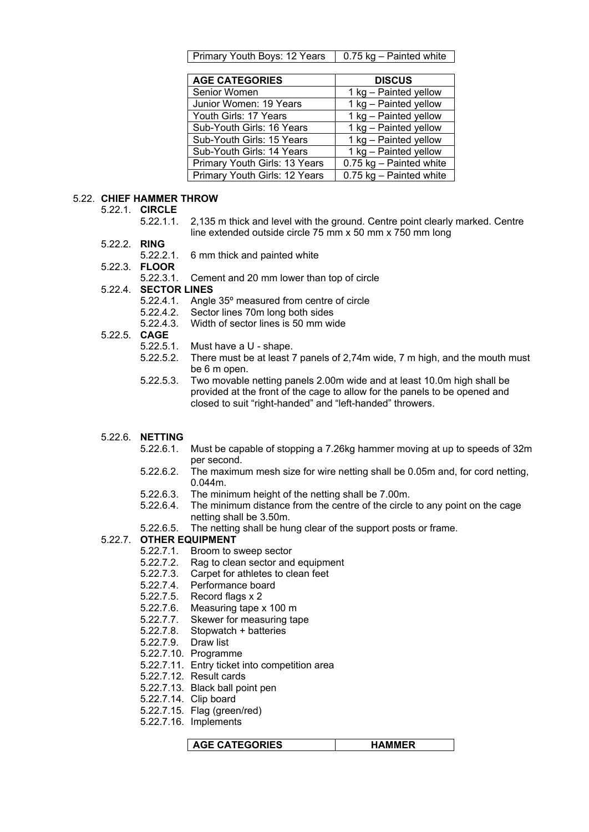| Primary Youth Boys: 12 Years   0.75 kg – Painted white |  |
|--------------------------------------------------------|--|
|--------------------------------------------------------|--|

| <b>AGE CATEGORIES</b>         | <b>DISCUS</b>           |
|-------------------------------|-------------------------|
| Senior Women                  | 1 kg - Painted yellow   |
| Junior Women: 19 Years        | 1 kg - Painted yellow   |
| Youth Girls: 17 Years         | 1 kg - Painted yellow   |
| Sub-Youth Girls: 16 Years     | 1 kg - Painted yellow   |
| Sub-Youth Girls: 15 Years     | 1 kg - Painted yellow   |
| Sub-Youth Girls: 14 Years     | 1 kg - Painted yellow   |
| Primary Youth Girls: 13 Years | 0.75 kg - Painted white |
| Primary Youth Girls: 12 Years | 0.75 kg - Painted white |

#### 5.22. **CHIEF HAMMER THROW**

5.22.1. **CIRCLE**

- 5.22.1.1. 2,135 m thick and level with the ground. Centre point clearly marked. Centre line extended outside circle 75 mm x 50 mm x 750 mm long
- 5.22.2. **RING**
	- 5.22.2.1. 6 mm thick and painted white

5.22.3. **FLOOR**

- 5.22.3.1. Cement and 20 mm lower than top of circle
- 5.22.4. **SECTOR LINES**
	- 5.22.4.1. Angle 35º measured from centre of circle
	- 5.22.4.2. Sector lines 70m long both sides
	- 5.22.4.3. Width of sector lines is 50 mm wide
- 5.22.5. **CAGE**
	- 5.22.5.1. Must have a U shape.
	- 5.22.5.2. There must be at least 7 panels of 2,74m wide, 7 m high, and the mouth must be 6 m open.
	- 5.22.5.3. Two movable netting panels 2.00m wide and at least 10.0m high shall be provided at the front of the cage to allow for the panels to be opened and closed to suit "right-handed" and "left-handed" throwers.
- 5.22.6. **NETTING**
	- 5.22.6.1. Must be capable of stopping a 7.26kg hammer moving at up to speeds of 32m per second.
	- 5.22.6.2. The maximum mesh size for wire netting shall be 0.05m and, for cord netting, 0.044m.
	- 5.22.6.3. The minimum height of the netting shall be 7.00m.
	- 5.22.6.4. The minimum distance from the centre of the circle to any point on the cage netting shall be 3.50m.
	- 5.22.6.5. The netting shall be hung clear of the support posts or frame.

#### 5.22.7. **OTHER EQUIPMENT**

- 5.22.7.1. Broom to sweep sector
- 5.22.7.2. Rag to clean sector and equipment
- 5.22.7.3. Carpet for athletes to clean feet
- 5.22.7.4. Performance board
- 5.22.7.5. Record flags x 2
- 5.22.7.6. Measuring tape x 100 m
- 5.22.7.7. Skewer for measuring tape
- 5.22.7.8. Stopwatch + batteries
- 5.22.7.9. Draw list
- 5.22.7.10. Programme
- 5.22.7.11. Entry ticket into competition area
- 5.22.7.12. Result cards
- 5.22.7.13. Black ball point pen
- 5.22.7.14. Clip board
- 5.22.7.15. Flag (green/red)
- 5.22.7.16. Implements

**AGE CATEGORIES HAMMER**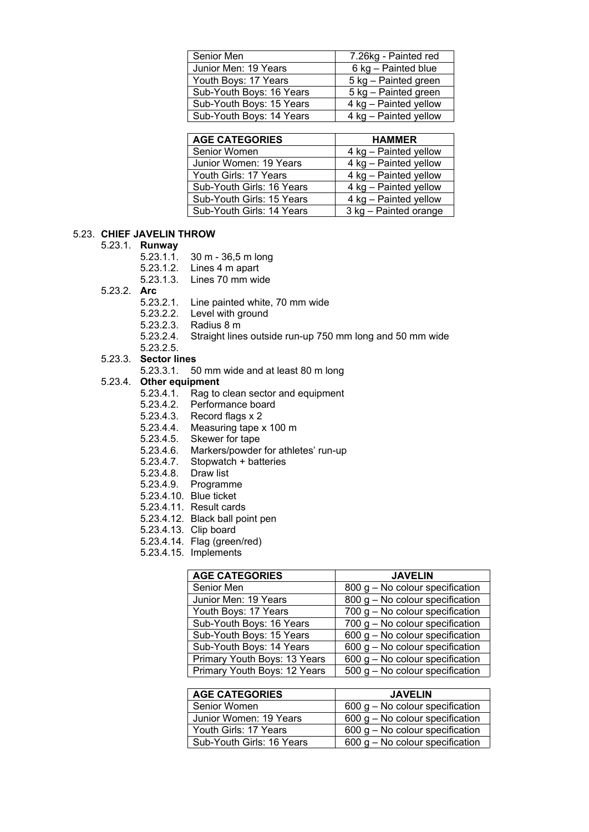| Senior Men               | 7.26kg - Painted red  |
|--------------------------|-----------------------|
| Junior Men: 19 Years     | 6 kg - Painted blue   |
| Youth Boys: 17 Years     | 5 kg – Painted green  |
| Sub-Youth Boys: 16 Years | 5 kg – Painted green  |
| Sub-Youth Boys: 15 Years | 4 kg - Painted yellow |
| Sub-Youth Boys: 14 Years | 4 kg – Painted yellow |

| <b>AGE CATEGORIES</b>     | <b>HAMMER</b>         |
|---------------------------|-----------------------|
| Senior Women              | 4 kg – Painted yellow |
| Junior Women: 19 Years    | 4 kg – Painted yellow |
| Youth Girls: 17 Years     | 4 kg - Painted yellow |
| Sub-Youth Girls: 16 Years | 4 kg - Painted yellow |
| Sub-Youth Girls: 15 Years | 4 kg - Painted yellow |
| Sub-Youth Girls: 14 Years | 3 kg – Painted orange |

#### 5.23. **CHIEF JAVELIN THROW**

#### 5.23.1. **Runway**

- 5.23.1.1. 30 m 36,5 m long
- 5.23.1.2. Lines 4 m apart
- 5.23.1.3. Lines 70 mm wide
- 5.23.2. **Arc**
	- 5.23.2.1. Line painted white, 70 mm wide
	- 5.23.2.2. Level with ground
	- 5.23.2.3. Radius 8 m
	- 5.23.2.4. Straight lines outside run-up 750 mm long and 50 mm wide

#### 5.23.2.5. 5.23.3. **Sector lines**

5.23.3.1. 50 mm wide and at least 80 m long

#### 5.23.4. **Other equipment**

- 5.23.4.1. Rag to clean sector and equipment
- 5.23.4.2. Performance board
- 5.23.4.3. Record flags x 2
- 5.23.4.4. Measuring tape x 100 m
- 5.23.4.5. Skewer for tape
- 5.23.4.6. Markers/powder for athletes' run-up
- 5.23.4.7. Stopwatch + batteries
- 5.23.4.8. Draw list
- 5.23.4.9. Programme
- 5.23.4.10. Blue ticket
- 5.23.4.11. Result cards
- 5.23.4.12. Black ball point pen
- 5.23.4.13. Clip board
- 5.23.4.14. Flag (green/red)
- 5.23.4.15. Implements

| <b>AGE CATEGORIES</b>        | <b>JAVELIN</b>                      |
|------------------------------|-------------------------------------|
| Senior Men                   | $800$ g – No colour specification   |
| Junior Men: 19 Years         | 800 g - No colour specification     |
| Youth Boys: 17 Years         | $700$ g $-$ No colour specification |
| Sub-Youth Boys: 16 Years     | $700$ g $-$ No colour specification |
| Sub-Youth Boys: 15 Years     | $600$ g – No colour specification   |
| Sub-Youth Boys: 14 Years     | $600$ g – No colour specification   |
| Primary Youth Boys: 13 Years | 600 $g$ – No colour specification   |
| Primary Youth Boys: 12 Years | $500$ g – No colour specification   |

| <b>AGE CATEGORIES</b>     | <b>JAVELIN</b>                    |
|---------------------------|-----------------------------------|
| Senior Women              | $600$ g – No colour specification |
| Junior Women: 19 Years    | $600$ g – No colour specification |
| Youth Girls: 17 Years     | $600$ g – No colour specification |
| Sub-Youth Girls: 16 Years | $600$ g – No colour specification |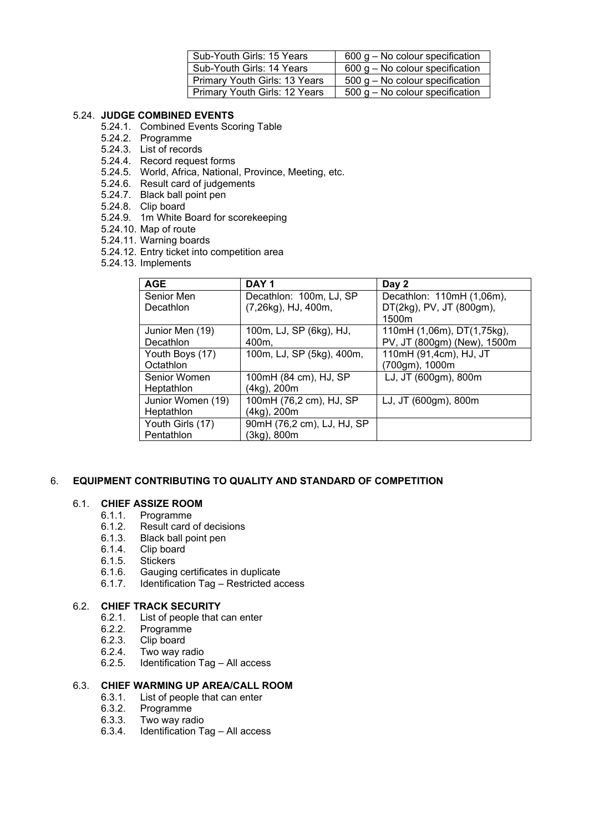| Sub-Youth Girls: 15 Years     | $600$ g – No colour specification |
|-------------------------------|-----------------------------------|
| Sub-Youth Girls: 14 Years     | $600$ g – No colour specification |
| Primary Youth Girls: 13 Years | $500$ g – No colour specification |
| Primary Youth Girls: 12 Years | $500$ g – No colour specification |

# 5.24. **JUDGE COMBINED EVENTS**

- 5.24.1. Combined Events Scoring Table
- 5.24.2. Programme
- 5.24.3. List of records
- 5.24.4. Record request forms
- 5.24.5. World, Africa, National, Province, Meeting, etc.
- 5.24.6. Result card of judgements
- 5.24.7. Black ball point pen
- 5.24.8. Clip board
- 5.24.9. 1m White Board for scorekeeping
- 5.24.10. Map of route
- 5.24.11. Warning boards
- 5.24.12. Entry ticket into competition area
- 5.24.13. Implements

| <b>AGE</b>        | DAY <sub>1</sub>           | Day 2                       |
|-------------------|----------------------------|-----------------------------|
| Senior Men        | Decathlon: 100m, LJ, SP    | Decathlon: 110mH (1,06m),   |
| Decathlon         | (7,26kg), HJ, 400m,        | DT(2kg), PV, JT (800gm),    |
|                   |                            | 1500m                       |
| Junior Men (19)   | 100m, LJ, SP (6kg), HJ,    | 110mH (1,06m), DT(1,75kg),  |
| Decathlon         | 400m.                      | PV, JT (800gm) (New), 1500m |
| Youth Boys (17)   | 100m, LJ, SP (5kg), 400m,  | 110mH (91,4cm), HJ, JT      |
| Octathion         |                            | (700gm), 1000m              |
| Senior Women      | 100mH (84 cm), HJ, SP      | LJ, JT (600gm), 800m        |
| Heptathlon        | (4kg), 200m                |                             |
| Junior Women (19) | 100mH (76,2 cm), HJ, SP    | LJ, JT (600gm), 800m        |
| Heptathlon        | (4kg), 200m                |                             |
| Youth Girls (17)  | 90mH (76,2 cm), LJ, HJ, SP |                             |
| Pentathlon        | (3kg), 800m                |                             |

# 6. **EQUIPMENT CONTRIBUTING TO QUALITY AND STANDARD OF COMPETITION**

# 6.1. **CHIEF ASSIZE ROOM**

- 6.1.1. Programme
- 6.1.2. Result card of decisions
- 6.1.3. Black ball point pen
- 6.1.4. Clip board<br>6.1.5. Stickers
- 6.1.5. Stickers<br>6.1.6. Gauging
- 6.1.6. Gauging certificates in duplicate
- 6.1.7. Identification Tag Restricted access

#### 6.2. **CHIEF TRACK SECURITY**

- 6.2.1. List of people that can enter
- 6.2.2. Programme
- 6.2.3. Clip board
- 6.2.4. Two way radio<br>6.2.5. Identification Ta
- Identification Tag All access

#### 6.3. **CHIEF WARMING UP AREA/CALL ROOM**

- 6.3.1. List of people that can enter
- 6.3.2. Programme
- 6.3.3. Two way radio
- Identification Tag All access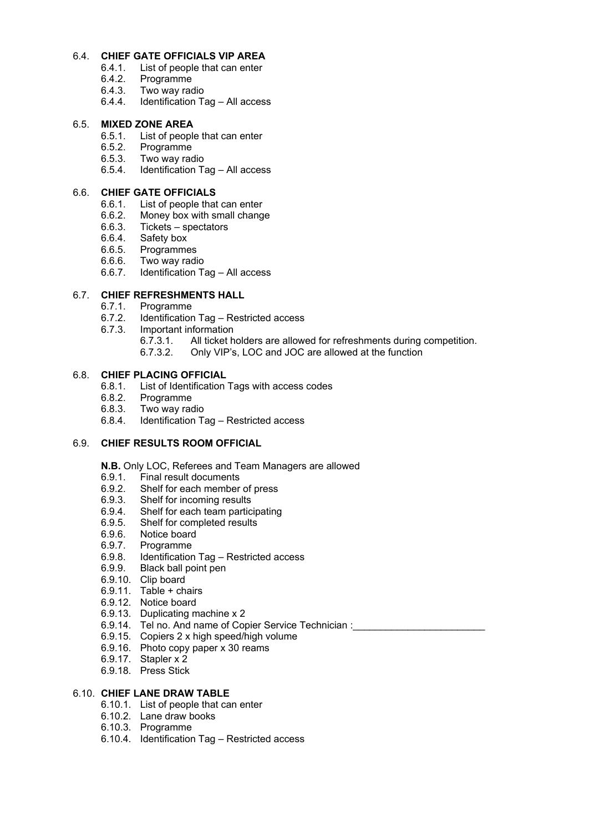#### 6.4. **CHIEF GATE OFFICIALS VIP AREA**

- 6.4.1. List of people that can enter<br>6.4.2. Programme
- 6.4.2. Programme
- 6.4.3. Two way radio
- 6.4.4. Identification Tag All access

# 6.5. **MIXED ZONE AREA**

- 6.5.1. List of people that can enter
- 6.5.2. Programme
- 6.5.3. Two way radio
- 6.5.4. Identification Tag All access

#### 6.6. **CHIEF GATE OFFICIALS**

- 
- 6.6.1. List of people that can enter<br>6.6.2. Money box with small changer Money box with small change
- 6.6.3. Tickets spectators<br>6.6.4. Safety box
- 
- 6.6.4. Safety box<br>6.6.5. Programme
- 6.6.5. Programmes<br>6.6.6. Two way radi Two way radio
- 6.6.7. Identification Tag All access

# 6.7. **CHIEF REFRESHMENTS HALL**<br>6.7.1. Programme

- 6.7.1. Programme
- 6.7.2. Identification Tag Restricted access
- 6.7.3. Important information
	- 6.7.3.1. All ticket holders are allowed for refreshments during competition.
	- 6.7.3.2. Only VIP's, LOC and JOC are allowed at the function

#### 6.8. **CHIEF PLACING OFFICIAL**

- 6.8.1. List of Identification Tags with access codes
- 6.8.2. Programme
- 6.8.3. Two way radio
- 6.8.4. Identification Tag Restricted access

#### 6.9. **CHIEF RESULTS ROOM OFFICIAL**

**N.B.** Only LOC, Referees and Team Managers are allowed

- 6.9.1. Final result documents
- 6.9.2. Shelf for each member of press
- 6.9.3. Shelf for incoming results
- 6.9.4. Shelf for each team participating
- 6.9.5. Shelf for completed results
- 6.9.6. Notice board
- 6.9.7. Programme
- 6.9.8. Identification Tag Restricted access
- 6.9.9. Black ball point pen
- 6.9.10. Clip board
- 6.9.11. Table + chairs
- 6.9.12. Notice board
- 6.9.13. Duplicating machine x 2
- 6.9.14. Tel no. And name of Copier Service Technician :
- 6.9.15. Copiers 2 x high speed/high volume
- 6.9.16. Photo copy paper x 30 reams
- 6.9.17. Stapler x 2
- 6.9.18. Press Stick

#### 6.10. **CHIEF LANE DRAW TABLE**

- 6.10.1. List of people that can enter
- 6.10.2. Lane draw books
- 6.10.3. Programme
- 6.10.4. Identification Tag Restricted access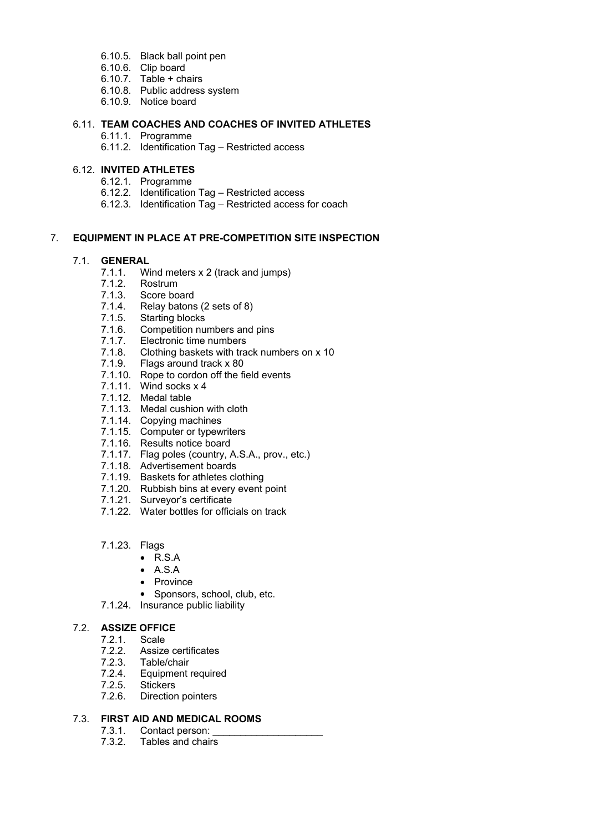- 6.10.5. Black ball point pen
- 6.10.6. Clip board
- 6.10.7. Table + chairs
- 6.10.8. Public address system
- 6.10.9. Notice board

# 6.11. **TEAM COACHES AND COACHES OF INVITED ATHLETES**

- 6.11.1. Programme
- 6.11.2. Identification Tag Restricted access

# 6.12. **INVITED ATHLETES**

- 6.12.1. Programme
- 6.12.2. Identification Tag Restricted access
- 6.12.3. Identification Tag Restricted access for coach

# 7. **EQUIPMENT IN PLACE AT PRE-COMPETITION SITE INSPECTION**

#### 7.1. **GENERAL**

- 7.1.1. Wind meters x 2 (track and jumps)<br>7.1.2. Rostrum
- $7.1.2.$
- 7.1.3. Score board
- 7.1.4. Relay batons (2 sets of 8)
- 7.1.5. Starting blocks
- 7.1.6. Competition numbers and pins
- 7.1.7. Electronic time numbers
- 7.1.8. Clothing baskets with track numbers on x 10
- 7.1.9. Flags around track x 80
- 7.1.10. Rope to cordon off the field events
- 7.1.11. Wind socks x 4
- 7.1.12. Medal table
- 7.1.13. Medal cushion with cloth
- 7.1.14. Copying machines
- 7.1.15. Computer or typewriters
- 7.1.16. Results notice board
- 7.1.17. Flag poles (country, A.S.A., prov., etc.)
- 7.1.18. Advertisement boards
- 7.1.19. Baskets for athletes clothing
- 7.1.20. Rubbish bins at every event point
- 7.1.21. Surveyor's certificate
- 7.1.22. Water bottles for officials on track
- 7.1.23. Flags
	- $\bullet$  R.S.A
	- $A.S.A$
	- Province
	- Sponsors, school, club, etc.
- 7.1.24. Insurance public liability

#### 7.2. **ASSIZE OFFICE**

- - 7.2.1. Scale<br>7.2.2. Assize Assize certificates
	- 7.2.3. Table/chair
	- 7.2.4. Equipment required
	- 7.2.5. Stickers
	- 7.2.6. Direction pointers

### 7.3. **FIRST AID AND MEDICAL ROOMS**

- 7.3.1. Contact person:
- 7.3.2. Tables and chairs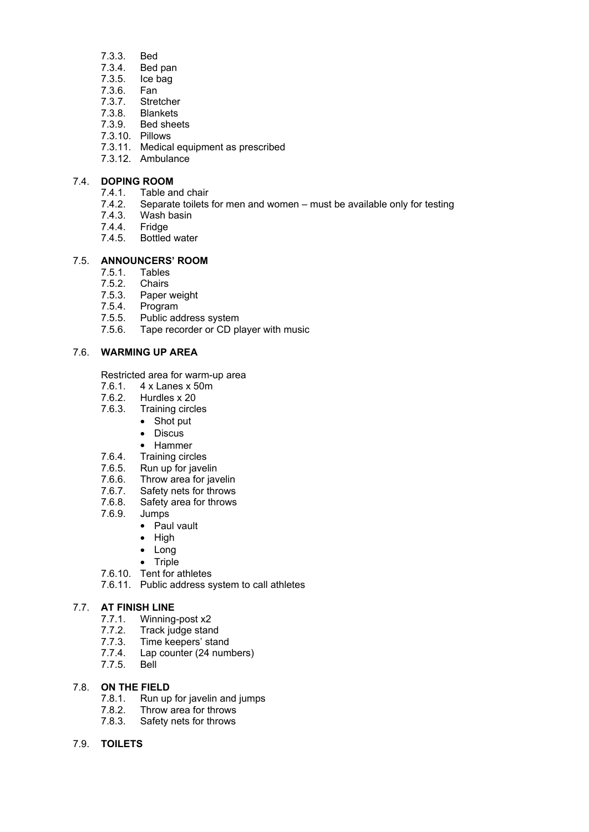- 7.3.3. Bed
- Bed pan
- 7.3.5. Ice bag
- 7.3.6. Fan
- 7.3.7. Stretcher
- 7.3.8. Blankets
- 7.3.9. Bed sheets
- 7.3.10. Pillows
- 7.3.11. Medical equipment as prescribed
- 7.3.12. Ambulance

#### 7.4. **DOPING ROOM**

- 7.4.1. Table and chair<br>7.4.2. Separate toilets
	- Separate toilets for men and women must be available only for testing
- 7.4.3. Wash basin
- 7.4.4. Fridge
- Bottled water

#### 7.5. **ANNOUNCERS' ROOM**

- 
- 7.5.1. Tables<br>7.5.2. Chairs
- 7.5.2. Chairs<br>7.5.3. Paper 7.5.3. Paper weight<br>7.5.4. Program
- 7.5.4. Program<br>7.5.5. Public ad
- Public address system
- 7.5.6. Tape recorder or CD player with music

# 7.6. **WARMING UP AREA**

Restricted area for warm-up area

- 7.6.1. 4 x Lanes x 50m
- 7.6.2. Hurdles x 20
- 7.6.3. Training circles
	- Shot put
	- Discus
	- Hammer
	-
- 7.6.4. Training circles<br>7.6.5. Run up for javel Run up for javelin
- 7.6.6. Throw area for javelin
- 7.6.7. Safety nets for throws
- 7.6.8. Safety area for throws
- 7.6.9. Jumps
	- Paul vault
	- $\bullet$  High
	- Long
	- $\bullet$  Triple
- 7.6.10. Tent for athletes
- 7.6.11. Public address system to call athletes

#### 7.7. **AT FINISH LINE**

- 7.7.1. Winning-post x2
- 7.7.2. Track judge stand
- 7.7.3. Time keepers' stand<br>7.7.4. Lap counter (24 num
- Lap counter (24 numbers)
- 7.7.5. Bell

# 7.8. **ON THE FIELD**

- 7.8.1. Run up for javelin and jumps<br>7.8.2. Throw area for throws
- Throw area for throws
- 7.8.3. Safety nets for throws

#### 7.9. **TOILETS**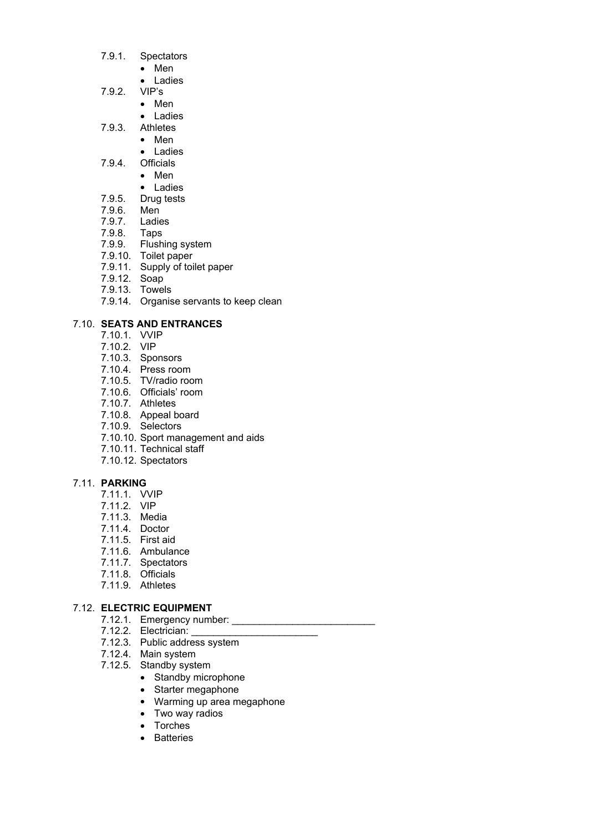- 7.9.1. Spectators
	- Men
	- Ladies
- 7.9.2. VIP's
	- Men
	- Ladies
- 7.9.3. Athletes
	- Men
	- Ladies
- 7.9.4. Officials
	- Men
	- Ladies
- 7.9.5. Drug tests
- 7.9.6. Men<br>7.9.7. Ladies
- 7.9.7. Ladies
- 7.9.8. Taps
- 7.9.9. Flushing system
- 7.9.10. Toilet paper
- 7.9.11. Supply of toilet paper
- 7.9.12. Soap
- 7.9.13. Towels
- 7.9.14. Organise servants to keep clean

# 7.10. **SEATS AND ENTRANCES**

- 7.10.1. VVIP
- 7.10.2. VIP
- 7.10.3. Sponsors
- 7.10.4. Press room
- 7.10.5. TV/radio room
- 7.10.6. Officials' room
- 7.10.7. Athletes
- 7.10.8. Appeal board
- 7.10.9. Selectors
- 7.10.10. Sport management and aids
- 7.10.11. Technical staff
- 7.10.12. Spectators

#### 7.11. **PARKING**

- 7.11.1. VVIP
- 7.11.2. VIP
- 7.11.3. Media
- 7.11.4. Doctor
- 7.11.5. First aid
- 7.11.6. Ambulance
- 7.11.7. Spectators
- 7.11.8. Officials
- 7.11.9. Athletes

# 7.12. **ELECTRIC EQUIPMENT**

- 7.12.1. Emergency number: \_\_\_\_\_\_\_\_\_\_\_\_\_\_\_\_\_\_\_\_\_\_\_\_\_\_
	- 7.12.2. Electrician:
	- 7.12.3. Public address system
	- 7.12.4. Main system
	- 7.12.5. Standby system
		- Standby microphone
		- Starter megaphone
		- Warming up area megaphone
		- Two way radios
		- Torches
		- Batteries